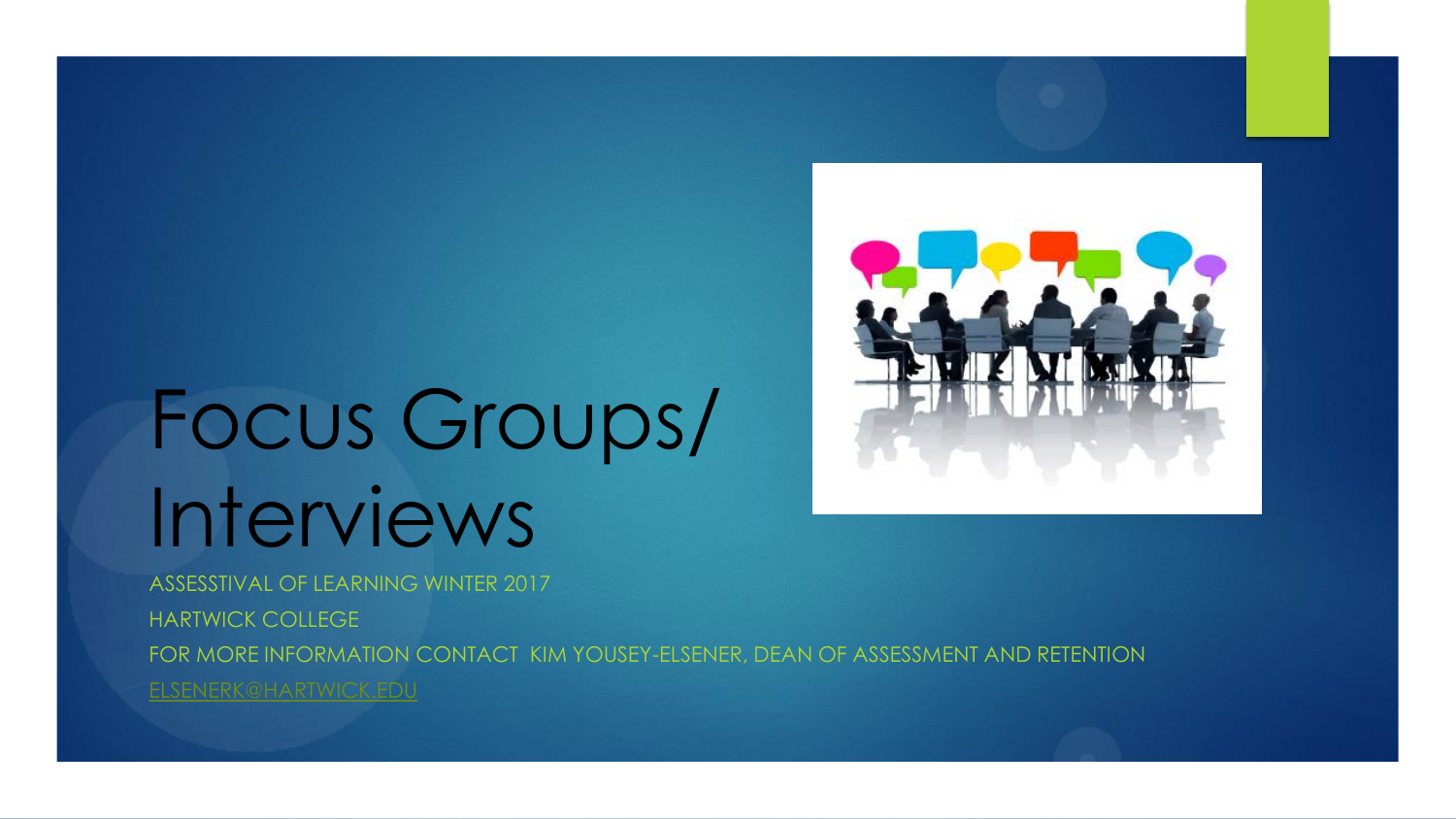

# Focus Groups/ Interviews

ASSESSTIVAL OF LEARNING WINTER 2017 HARTWICK COLLEGE FOR MORE INFORMATION CONTACT KIM YOUSEY-ELSENER, DEAN OF ASSESSMENT AND RETENTION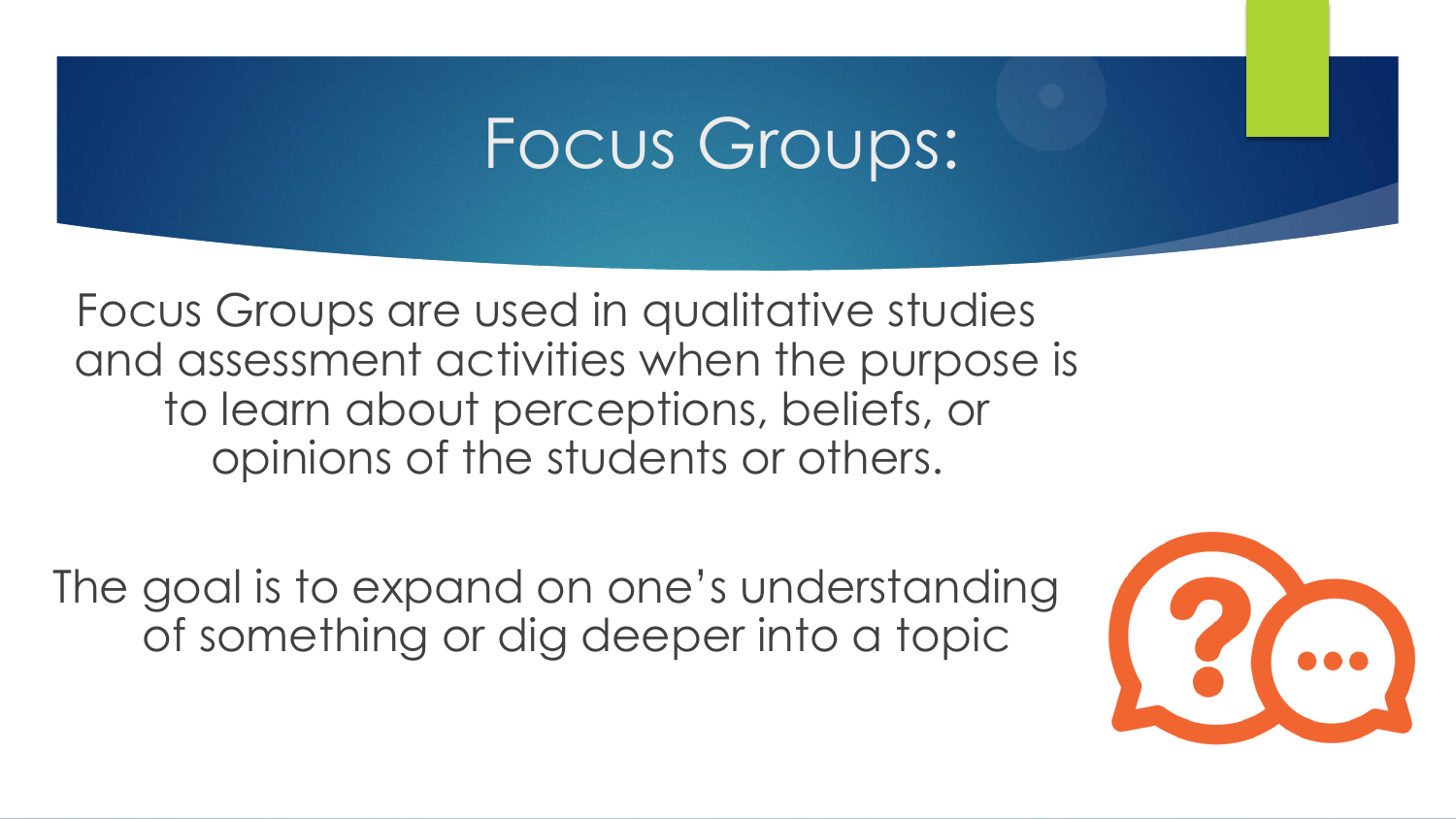# Focus Groups:

Focus Groups are used in qualitative studies and assessment activities when the purpose is to learn about perceptions, beliefs, or opinions of the students or others.

The goal is to expand on one's understanding of something or dig deeper into a topic

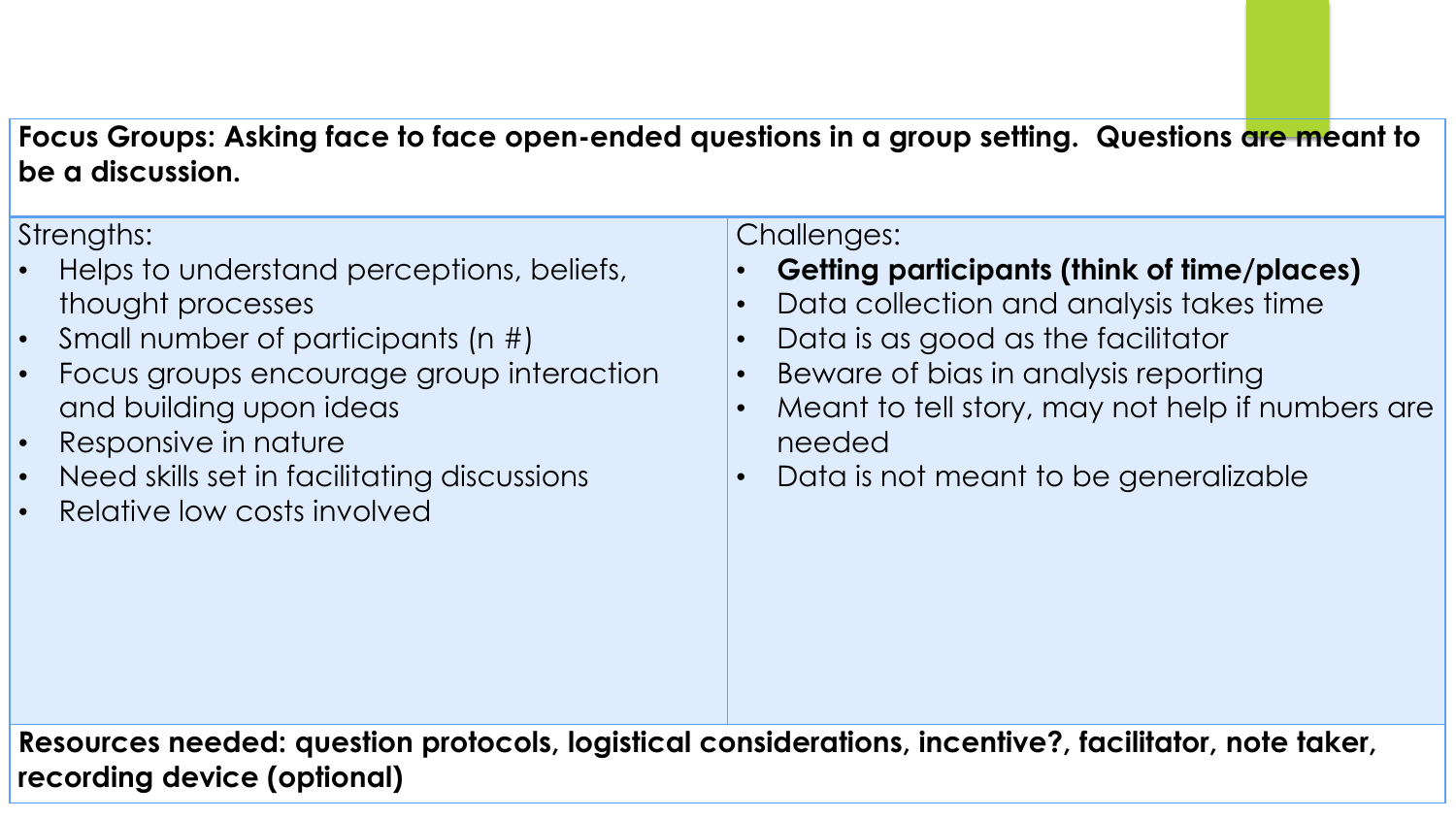#### **Focus Groups: Asking face to face open-ended questions in a group setting. Questions are meant to be a discussion.**

Strengths:

- Helps to understand perceptions, beliefs, thought processes
- Small number of participants (n #)
- Focus groups encourage group interaction and building upon ideas
- Responsive in nature
- Need skills set in facilitating discussions
- Relative low costs involved

Challenges:

- **Getting participants (think of time/places)**
- Data collection and analysis takes time
- Data is as good as the facilitator
- Beware of bias in analysis reporting
- Meant to tell story, may not help if numbers are needed
- Data is not meant to be generalizable

**Resources needed: question protocols, logistical considerations, incentive?, facilitator, note taker, recording device (optional)**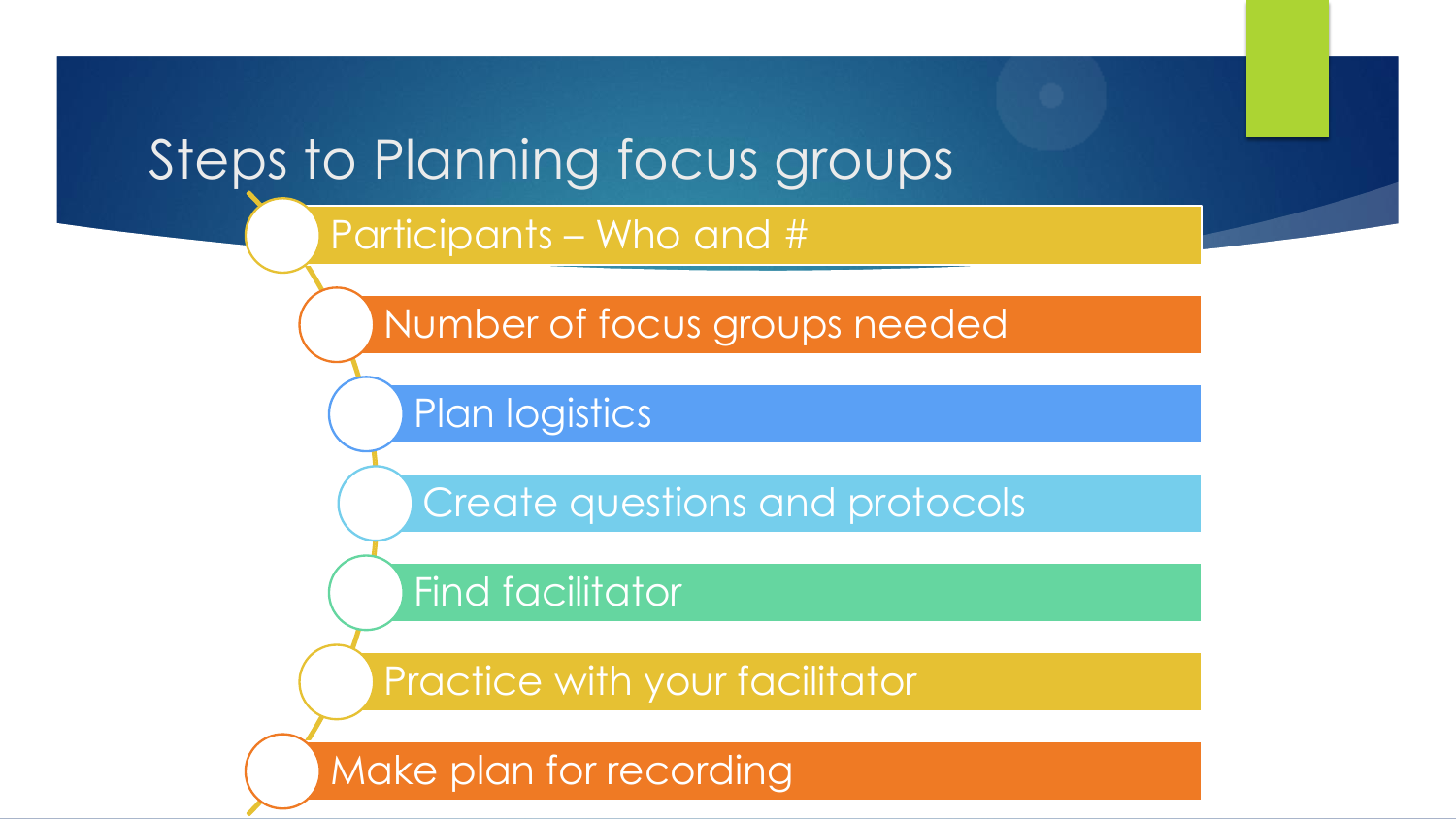#### Steps to Planning focus groups

#### Participants – Who and #

Number of focus groups needed

Plan logistics

Create questions and protocols

Find facilitator

Practice with your facilitator

Make plan for recording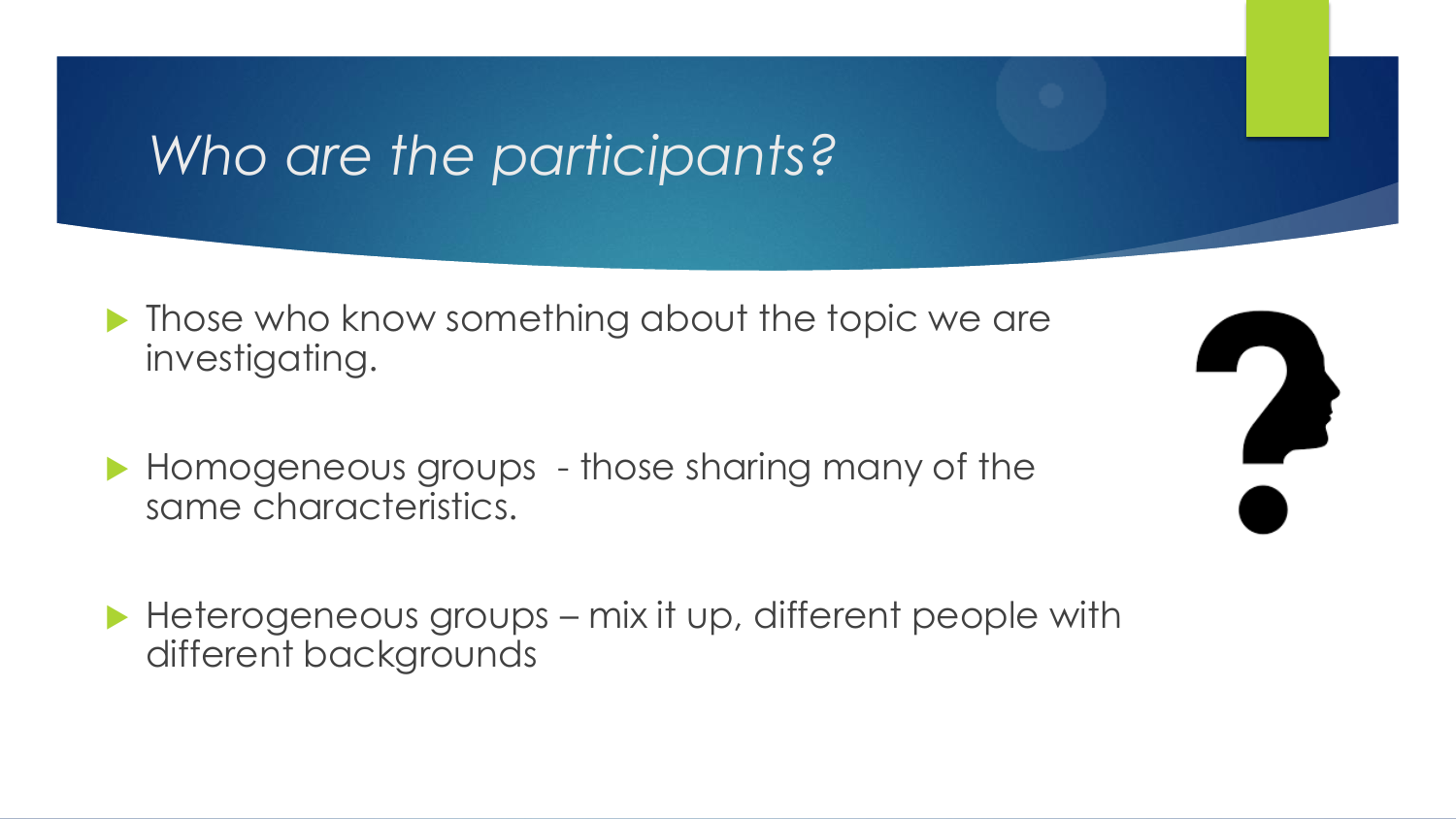#### *Who are the participants?*

- **Those who know something about the topic we are** investigating.
- Homogeneous groups those sharing many of the same characteristics.
- $\blacktriangleright$  Heterogeneous groups mix it up, different people with different backgrounds

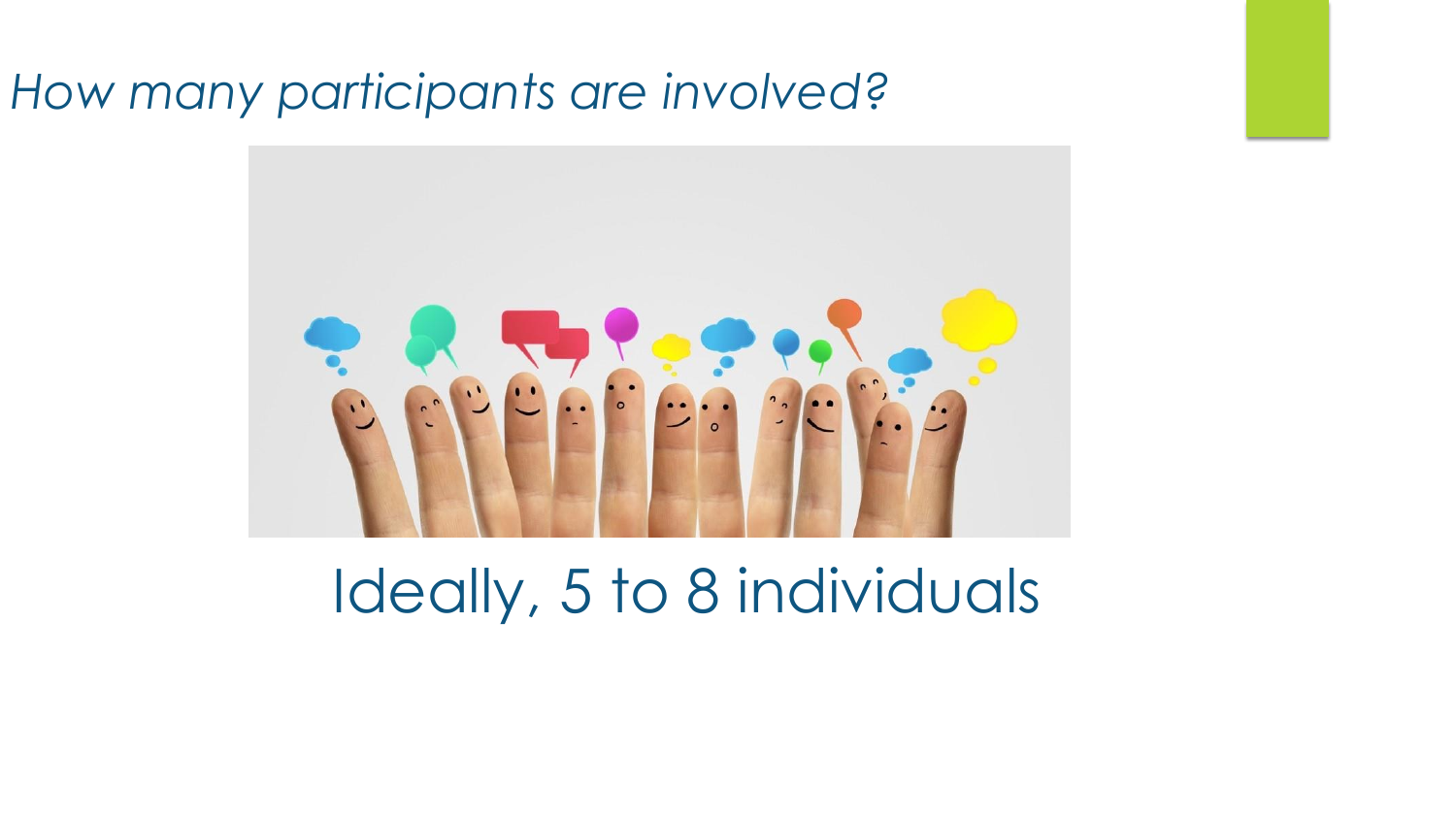#### *How many participants are involved?*



## Ideally, 5 to 8 individuals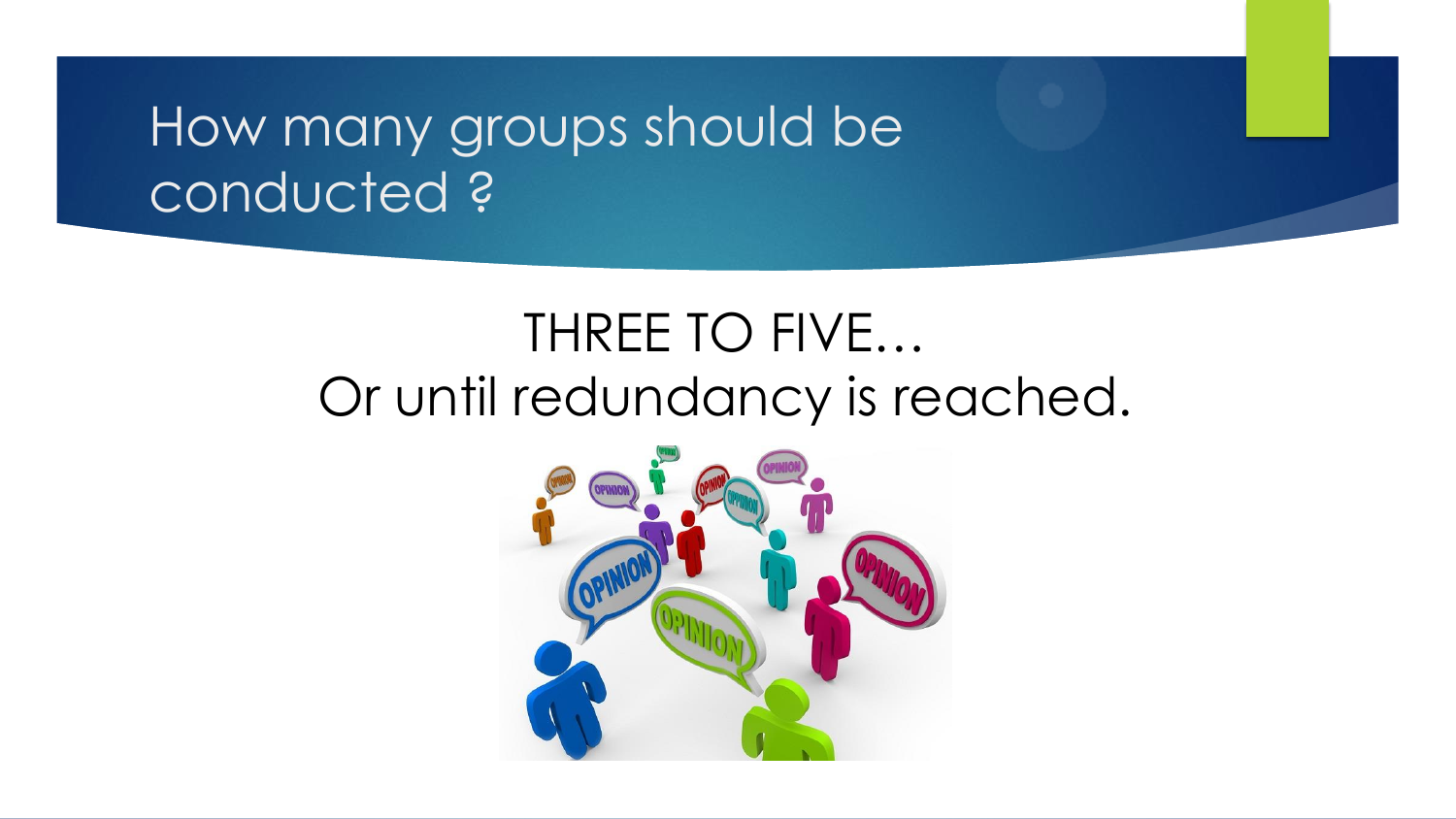### How many groups should be conducted ?

### THREE TO FIVE… Or until redundancy is reached.

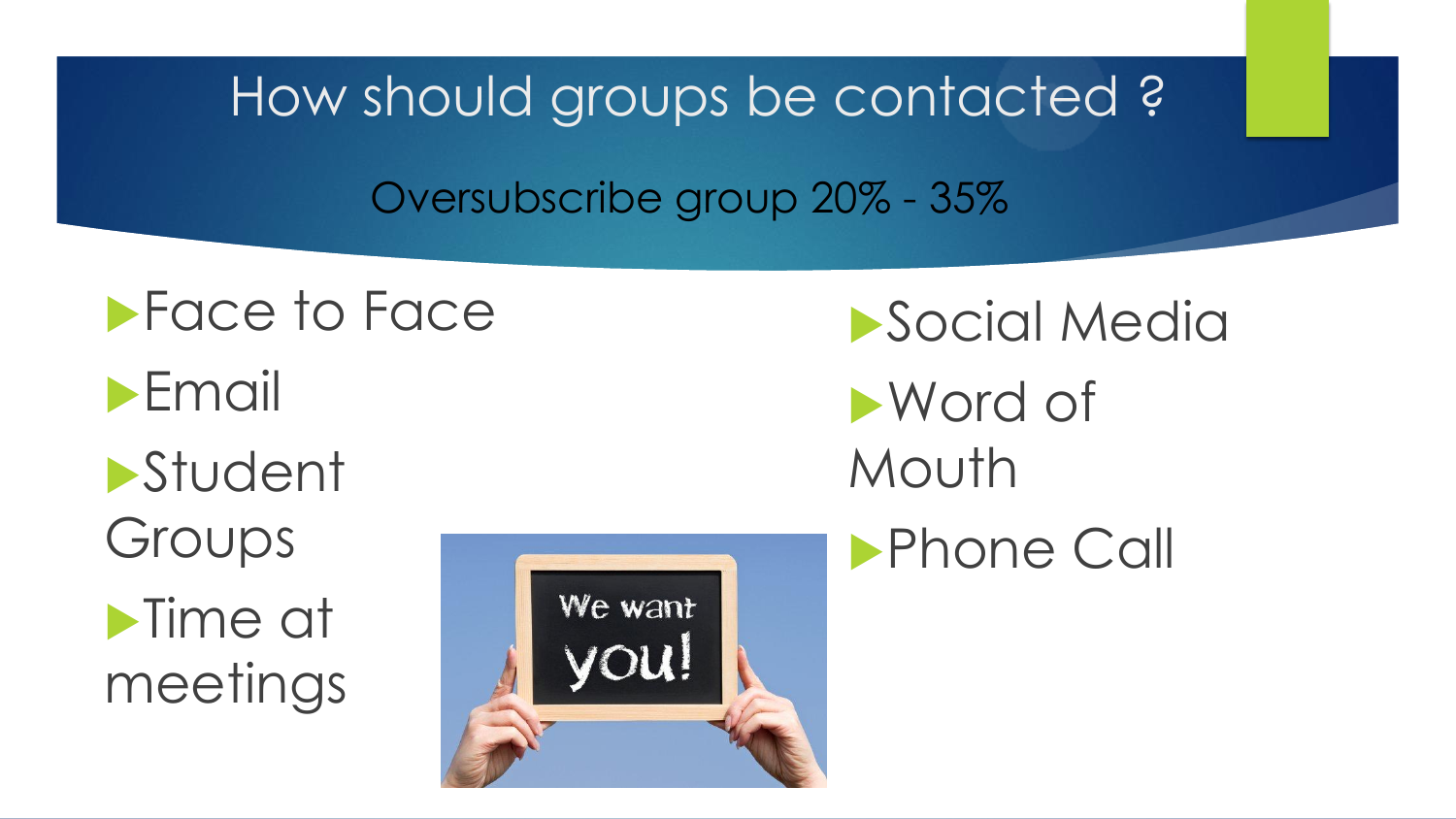How should groups be contacted ? Oversubscribe group 20% - 35%

**Face to Face Email Student** Groups **Time at** meetings



**Social Media** 

Word of Mouth

**Phone Call**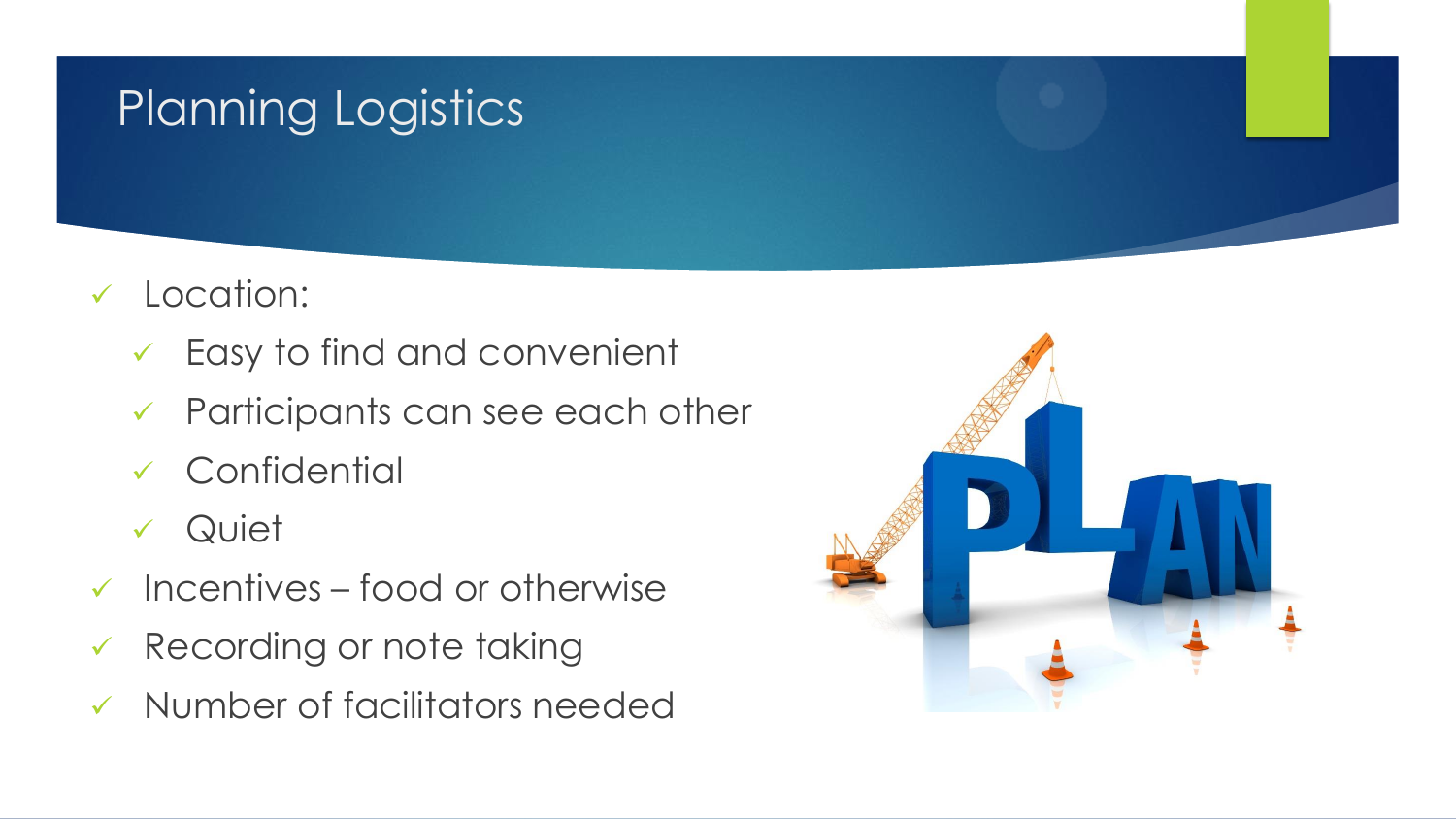#### Planning Logistics

- Location:
	- Easy to find and convenient
	- Participants can see each other
	- Confidential
	- Quiet
- $\checkmark$  Incentives food or otherwise
- Recording or note taking
- Number of facilitators needed

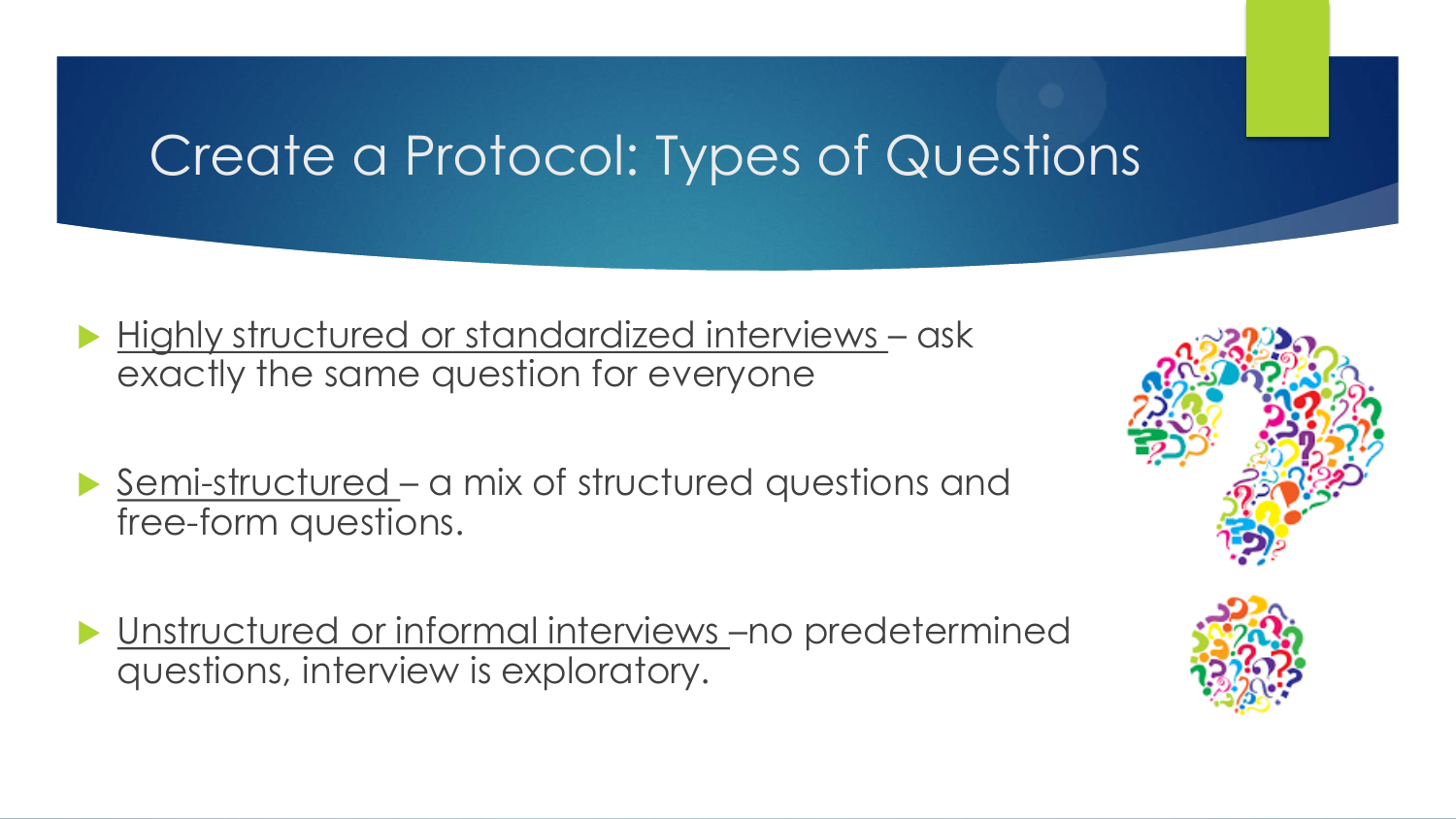### Create a Protocol: Types of Questions

- Highly structured or standardized interviews ask exactly the same question for everyone
- Semi-structured a mix of structured questions and free-form questions.
- Unstructured or informal interviews –no predetermined questions, interview is exploratory.



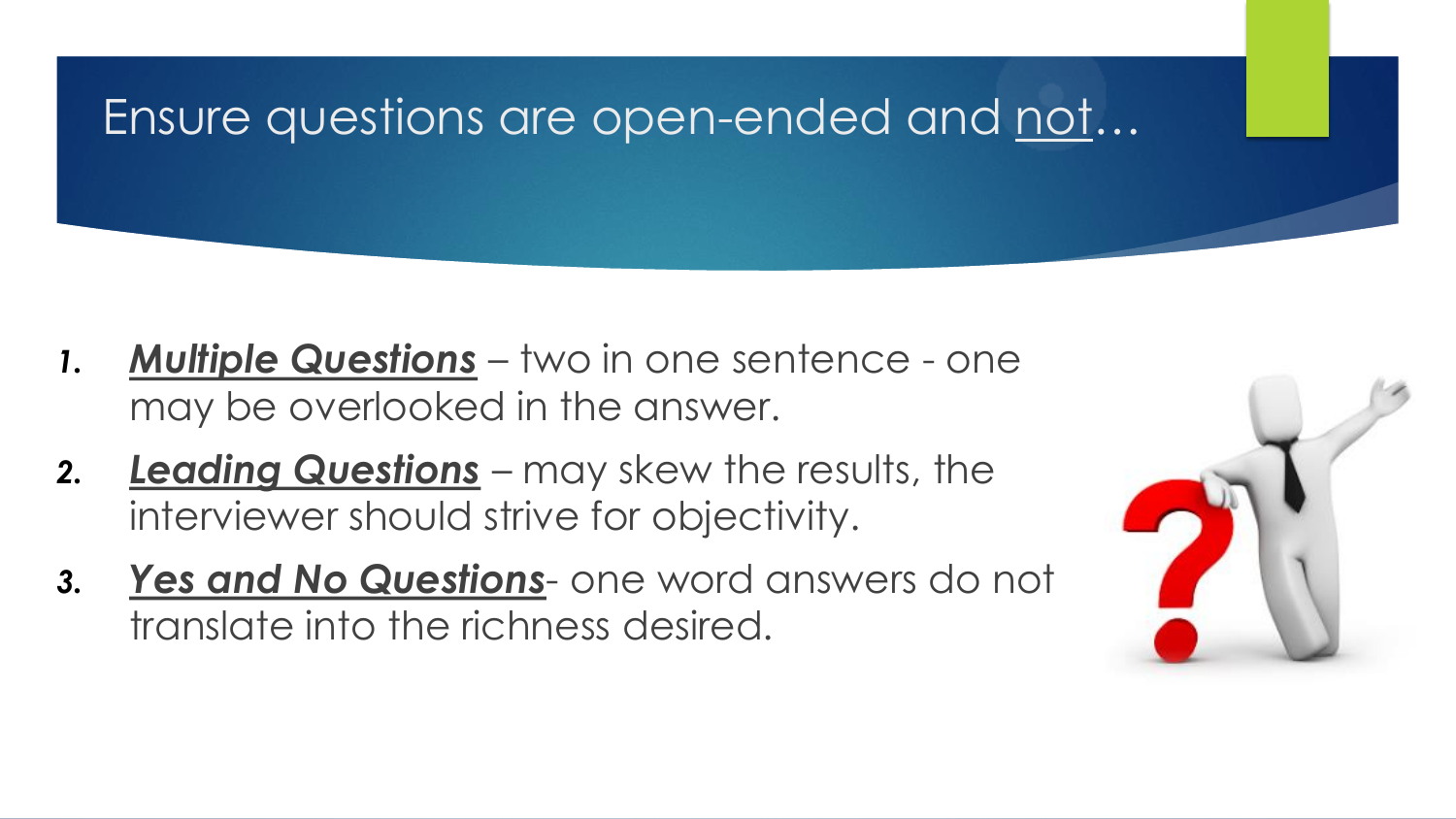

- *1. Multiple Questions* two in one sentence one may be overlooked in the answer.
- *2. Leading Questions* may skew the results, the interviewer should strive for objectivity.
- *3. Yes and No Questions* one word answers do not translate into the richness desired.

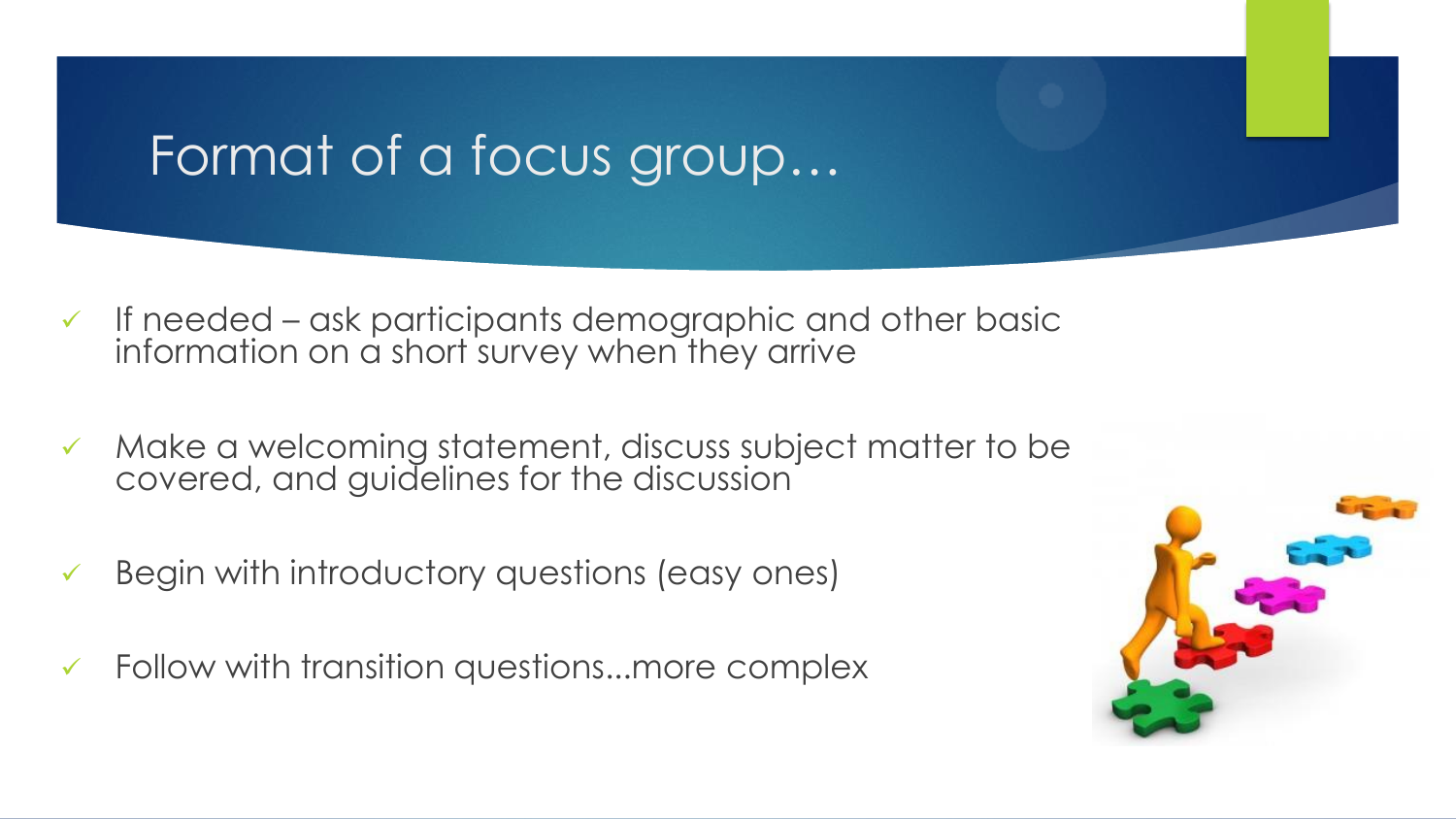#### Format of a focus group…

- $\checkmark$  If needed ask participants demographic and other basic information on a short survey when they arrive
- Make a welcoming statement, discuss subject matter to be covered, and guidelines for the discussion
- Begin with introductory questions (easy ones)
- $\checkmark$  Follow with transition questions...more complex

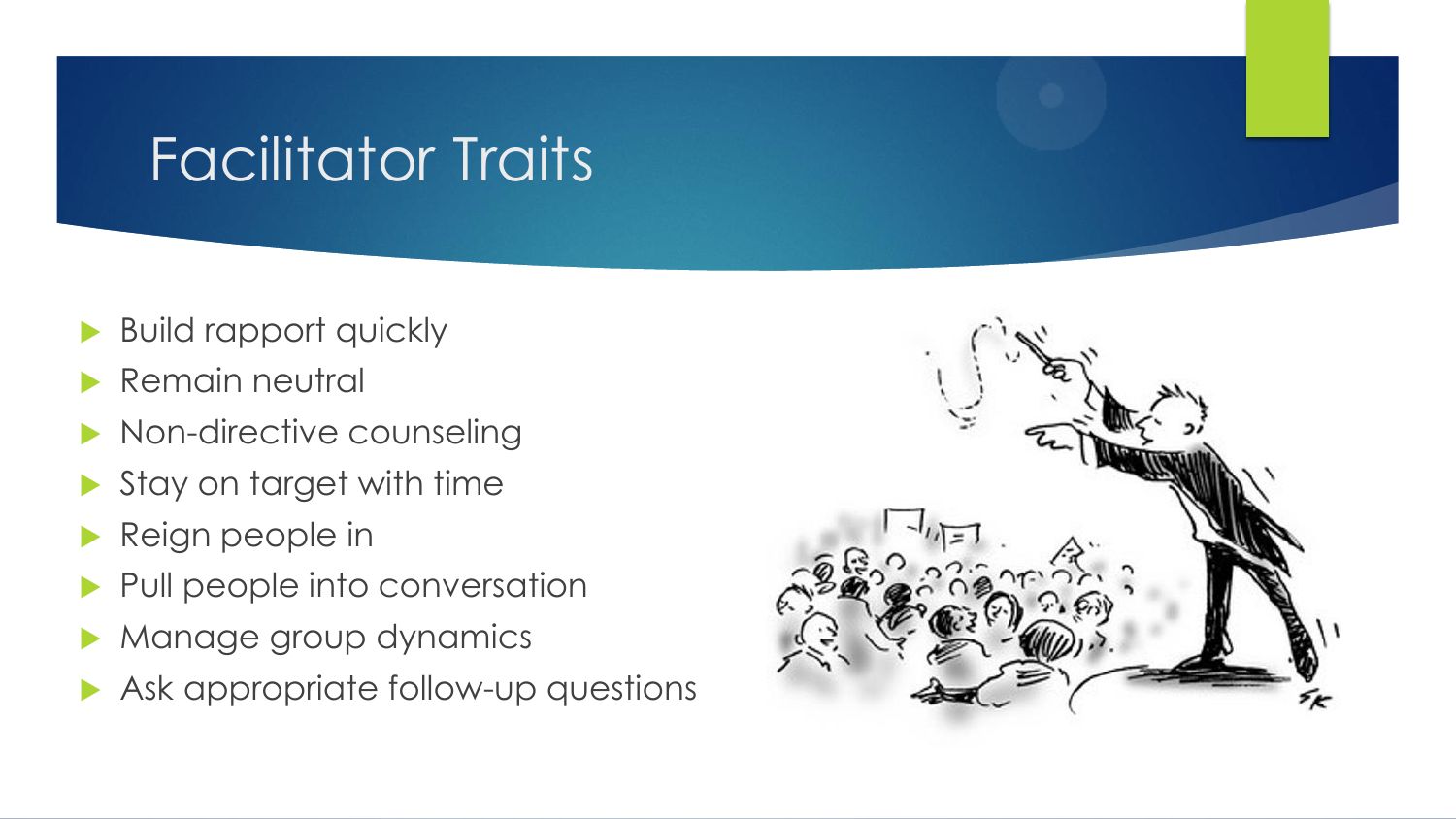# Facilitator Traits

- Build rapport quickly
- Remain neutral
- Non-directive counseling
- Stay on target with time
- Reign people in
- Pull people into conversation
- Manage group dynamics
- Ask appropriate follow-up questions

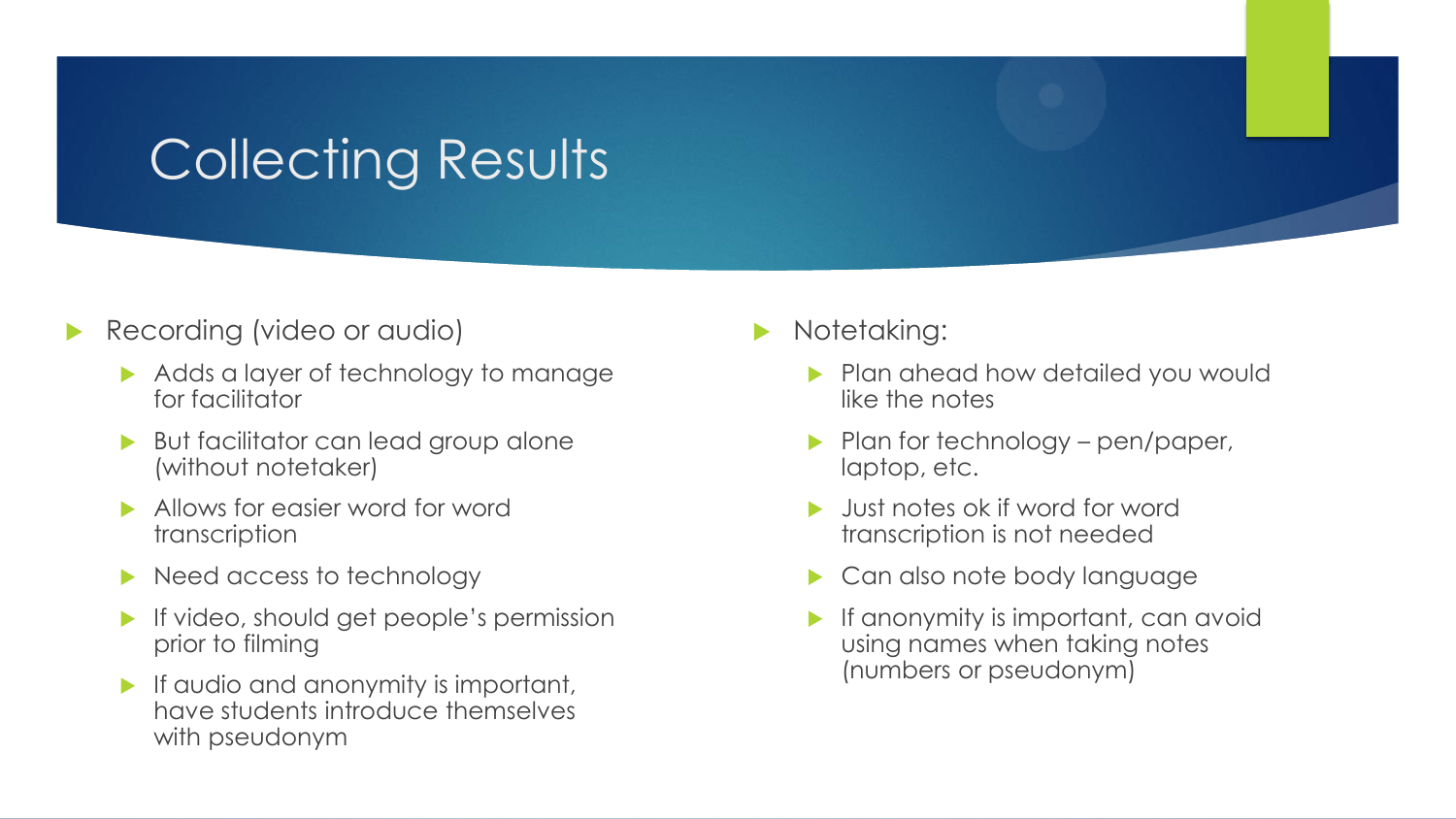### Collecting Results

- Recording (video or audio)
	- Adds a layer of technology to manage for facilitator
	- But facilitator can lead group alone (without notetaker)
	- Allows for easier word for word transcription
	- Need access to technology
	- If video, should get people's permission prior to filming
	- $\blacktriangleright$  If audio and anonymity is important, have students introduce themselves with pseudonym

Notetaking:

- **Plan ahead how detailed you would** like the notes
- Plan for technology pen/paper, laptop, etc.
- Just notes ok if word for word transcription is not needed
- Can also note body language
- If anonymity is important, can avoid using names when taking notes (numbers or pseudonym)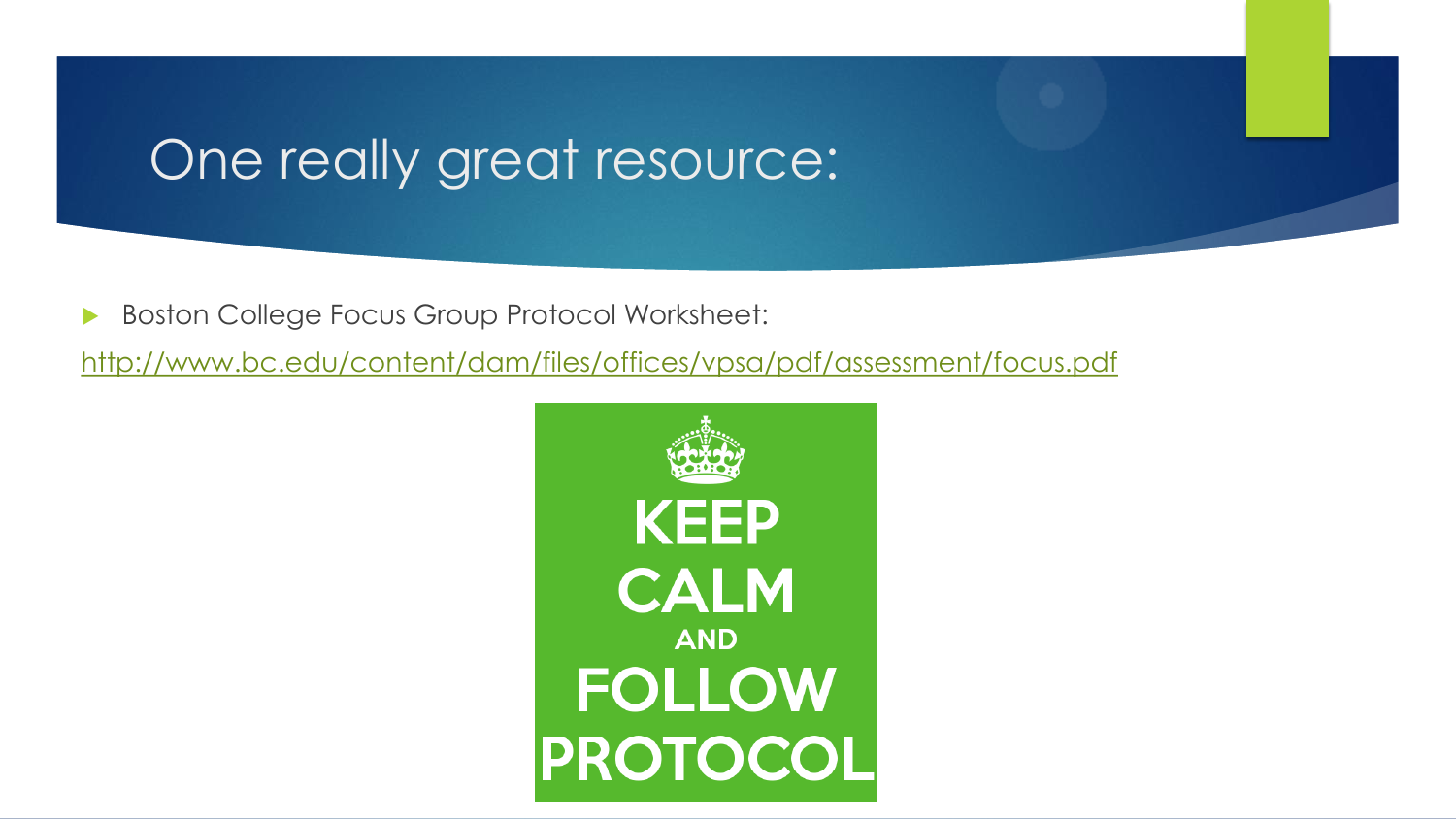#### One really great resource:

Boston College Focus Group Protocol Worksheet:

<http://www.bc.edu/content/dam/files/offices/vpsa/pdf/assessment/focus.pdf>